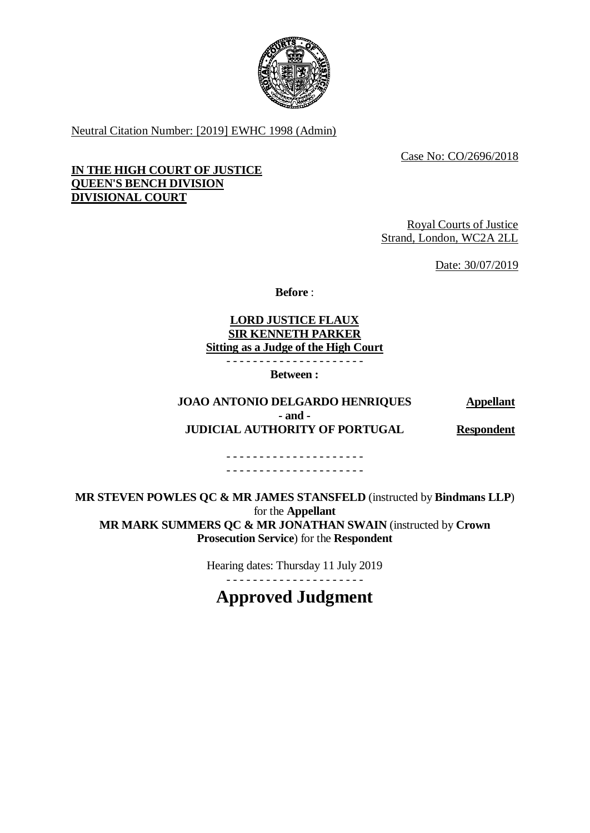

Neutral Citation Number: [2019] EWHC 1998 (Admin)

Case No: CO/2696/2018

# **IN THE HIGH COURT OF JUSTICE QUEEN'S BENCH DIVISION DIVISIONAL COURT**

Royal Courts of Justice Strand, London, WC2A 2LL

Date: 30/07/2019

**Before** :

## **LORD JUSTICE FLAUX SIR KENNETH PARKER Sitting as a Judge of the High Court**

- - - - - - - - - - - - - - - - - - - - -

**Between :**

## **JOAO ANTONIO DELGARDO HENRIQUES Appellant - and - JUDICIAL AUTHORITY OF PORTUGAL Respondent**

- - - - - - - - - - - - - - - - - - - - -

- - - - - - - - - - - - - - - - - - - - -

**MR STEVEN POWLES QC & MR JAMES STANSFELD** (instructed by **Bindmans LLP**) for the **Appellant MR MARK SUMMERS QC & MR JONATHAN SWAIN** (instructed by **Crown Prosecution Service**) for the **Respondent**

> Hearing dates: Thursday 11 July 2019 - - - - - - - - - - - - - - - - - - - - -

**Approved Judgment**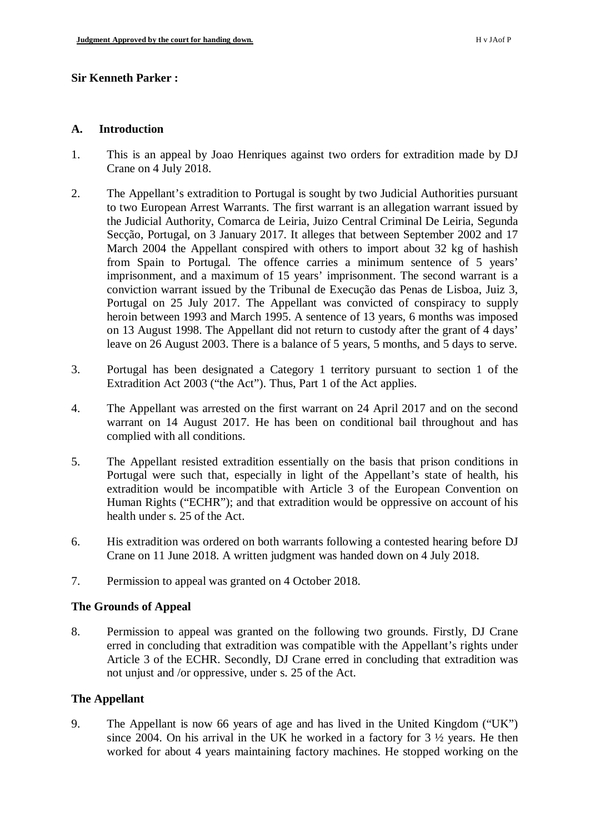## **Sir Kenneth Parker :**

#### **A. Introduction**

- 1. This is an appeal by Joao Henriques against two orders for extradition made by DJ Crane on 4 July 2018.
- 2. The Appellant's extradition to Portugal is sought by two Judicial Authorities pursuant to two European Arrest Warrants. The first warrant is an allegation warrant issued by the Judicial Authority, Comarca de Leiria, Juizo Central Criminal De Leiria, Segunda Secção, Portugal, on 3 January 2017. It alleges that between September 2002 and 17 March 2004 the Appellant conspired with others to import about 32 kg of hashish from Spain to Portugal. The offence carries a minimum sentence of 5 years' imprisonment, and a maximum of 15 years' imprisonment. The second warrant is a conviction warrant issued by the Tribunal de Execução das Penas de Lisboa, Juiz 3, Portugal on 25 July 2017. The Appellant was convicted of conspiracy to supply heroin between 1993 and March 1995. A sentence of 13 years, 6 months was imposed on 13 August 1998. The Appellant did not return to custody after the grant of 4 days' leave on 26 August 2003. There is a balance of 5 years, 5 months, and 5 days to serve.
- 3. Portugal has been designated a Category 1 territory pursuant to section 1 of the Extradition Act 2003 ("the Act"). Thus, Part 1 of the Act applies.
- 4. The Appellant was arrested on the first warrant on 24 April 2017 and on the second warrant on 14 August 2017. He has been on conditional bail throughout and has complied with all conditions.
- 5. The Appellant resisted extradition essentially on the basis that prison conditions in Portugal were such that, especially in light of the Appellant's state of health, his extradition would be incompatible with Article 3 of the European Convention on Human Rights ("ECHR"); and that extradition would be oppressive on account of his health under s. 25 of the Act.
- 6. His extradition was ordered on both warrants following a contested hearing before DJ Crane on 11 June 2018. A written judgment was handed down on 4 July 2018.
- 7. Permission to appeal was granted on 4 October 2018.

## **The Grounds of Appeal**

8. Permission to appeal was granted on the following two grounds. Firstly, DJ Crane erred in concluding that extradition was compatible with the Appellant's rights under Article 3 of the ECHR. Secondly, DJ Crane erred in concluding that extradition was not unjust and /or oppressive, under s. 25 of the Act.

## **The Appellant**

9. The Appellant is now 66 years of age and has lived in the United Kingdom ("UK") since 2004. On his arrival in the UK he worked in a factory for 3 ½ years. He then worked for about 4 years maintaining factory machines. He stopped working on the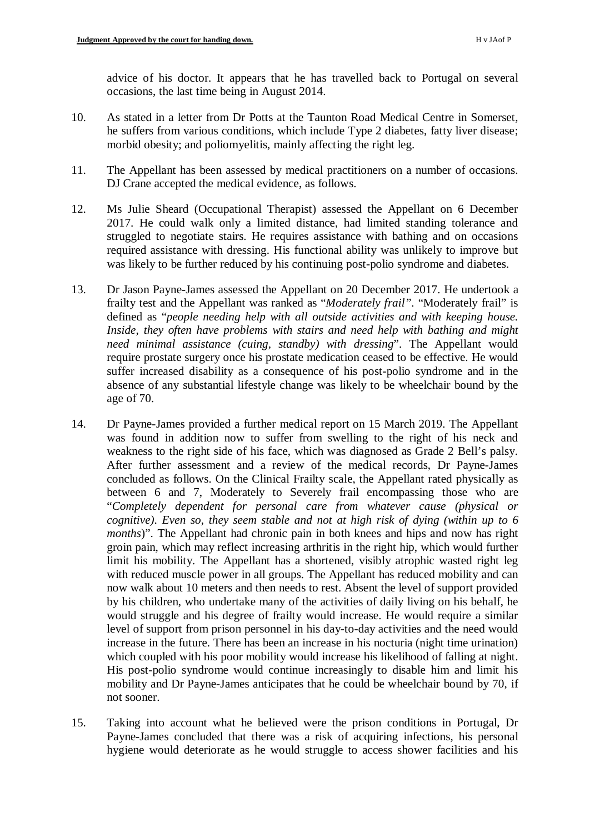advice of his doctor. It appears that he has travelled back to Portugal on several occasions, the last time being in August 2014.

- 10. As stated in a letter from Dr Potts at the Taunton Road Medical Centre in Somerset, he suffers from various conditions, which include Type 2 diabetes, fatty liver disease; morbid obesity; and poliomyelitis, mainly affecting the right leg.
- 11. The Appellant has been assessed by medical practitioners on a number of occasions. DJ Crane accepted the medical evidence, as follows.
- 12. Ms Julie Sheard (Occupational Therapist) assessed the Appellant on 6 December 2017. He could walk only a limited distance, had limited standing tolerance and struggled to negotiate stairs. He requires assistance with bathing and on occasions required assistance with dressing. His functional ability was unlikely to improve but was likely to be further reduced by his continuing post-polio syndrome and diabetes.
- 13. Dr Jason Payne-James assessed the Appellant on 20 December 2017. He undertook a frailty test and the Appellant was ranked as "*Moderately frail"*. "Moderately frail" is defined as "*people needing help with all outside activities and with keeping house. Inside, they often have problems with stairs and need help with bathing and might need minimal assistance (cuing, standby) with dressing*". The Appellant would require prostate surgery once his prostate medication ceased to be effective. He would suffer increased disability as a consequence of his post-polio syndrome and in the absence of any substantial lifestyle change was likely to be wheelchair bound by the age of 70.
- 14. Dr Payne-James provided a further medical report on 15 March 2019. The Appellant was found in addition now to suffer from swelling to the right of his neck and weakness to the right side of his face, which was diagnosed as Grade 2 Bell's palsy. After further assessment and a review of the medical records, Dr Payne-James concluded as follows. On the Clinical Frailty scale, the Appellant rated physically as between 6 and 7, Moderately to Severely frail encompassing those who are "*Completely dependent for personal care from whatever cause (physical or cognitive). Even so, they seem stable and not at high risk of dying (within up to 6 months*)". The Appellant had chronic pain in both knees and hips and now has right groin pain, which may reflect increasing arthritis in the right hip, which would further limit his mobility. The Appellant has a shortened, visibly atrophic wasted right leg with reduced muscle power in all groups. The Appellant has reduced mobility and can now walk about 10 meters and then needs to rest. Absent the level of support provided by his children, who undertake many of the activities of daily living on his behalf, he would struggle and his degree of frailty would increase. He would require a similar level of support from prison personnel in his day-to-day activities and the need would increase in the future. There has been an increase in his nocturia (night time urination) which coupled with his poor mobility would increase his likelihood of falling at night. His post-polio syndrome would continue increasingly to disable him and limit his mobility and Dr Payne-James anticipates that he could be wheelchair bound by 70, if not sooner.
- 15. Taking into account what he believed were the prison conditions in Portugal, Dr Payne-James concluded that there was a risk of acquiring infections, his personal hygiene would deteriorate as he would struggle to access shower facilities and his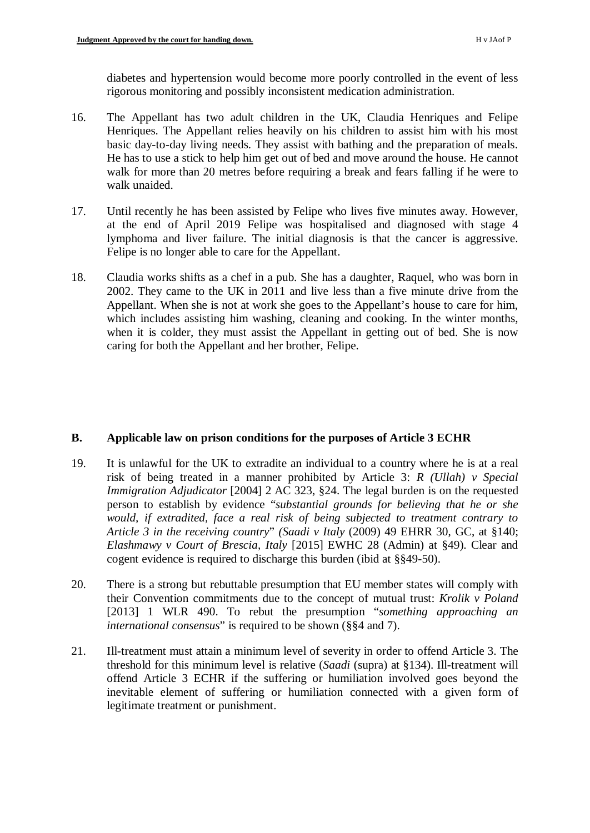diabetes and hypertension would become more poorly controlled in the event of less rigorous monitoring and possibly inconsistent medication administration.

- 16. The Appellant has two adult children in the UK, Claudia Henriques and Felipe Henriques. The Appellant relies heavily on his children to assist him with his most basic day-to-day living needs. They assist with bathing and the preparation of meals. He has to use a stick to help him get out of bed and move around the house. He cannot walk for more than 20 metres before requiring a break and fears falling if he were to walk unaided.
- 17. Until recently he has been assisted by Felipe who lives five minutes away. However, at the end of April 2019 Felipe was hospitalised and diagnosed with stage 4 lymphoma and liver failure. The initial diagnosis is that the cancer is aggressive. Felipe is no longer able to care for the Appellant.
- 18. Claudia works shifts as a chef in a pub. She has a daughter, Raquel, who was born in 2002. They came to the UK in 2011 and live less than a five minute drive from the Appellant. When she is not at work she goes to the Appellant's house to care for him, which includes assisting him washing, cleaning and cooking. In the winter months, when it is colder, they must assist the Appellant in getting out of bed. She is now caring for both the Appellant and her brother, Felipe.

# **B. Applicable law on prison conditions for the purposes of Article 3 ECHR**

- 19. It is unlawful for the UK to extradite an individual to a country where he is at a real risk of being treated in a manner prohibited by Article 3: *R (Ullah) v Special Immigration Adjudicator* [2004] 2 AC 323, §24. The legal burden is on the requested person to establish by evidence "*substantial grounds for believing that he or she would, if extradited, face a real risk of being subjected to treatment contrary to Article 3 in the receiving country*" *(Saadi v Italy* (2009) 49 EHRR 30, GC, at §140; *Elashmawy v Court of Brescia, Italy* [2015] EWHC 28 (Admin) at §49). Clear and cogent evidence is required to discharge this burden (ibid at §§49-50).
- 20. There is a strong but rebuttable presumption that EU member states will comply with their Convention commitments due to the concept of mutual trust: *Krolik v Poland* [2013] 1 WLR 490. To rebut the presumption "*something approaching an international consensus*" is required to be shown (§§4 and 7).
- 21. Ill-treatment must attain a minimum level of severity in order to offend Article 3. The threshold for this minimum level is relative (*Saadi* (supra) at §134). Ill-treatment will offend Article 3 ECHR if the suffering or humiliation involved goes beyond the inevitable element of suffering or humiliation connected with a given form of legitimate treatment or punishment.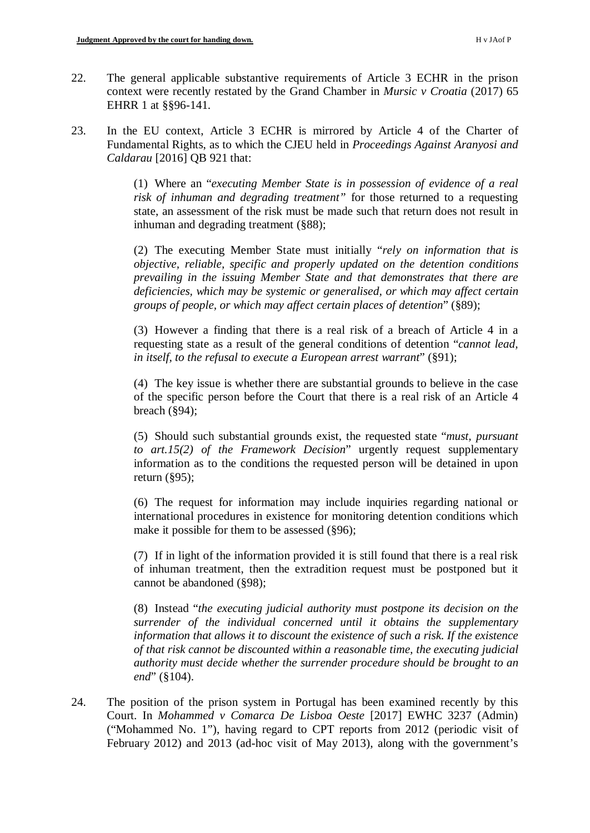- 22. The general applicable substantive requirements of Article 3 ECHR in the prison context were recently restated by the Grand Chamber in *Mursic v Croatia* (2017) 65 EHRR 1 at §§96-141.
- 23. In the EU context, Article 3 ECHR is mirrored by Article 4 of the Charter of Fundamental Rights, as to which the CJEU held in *Proceedings Against Aranyosi and Caldarau* [2016] QB 921 that:

(1) Where an "*executing Member State is in possession of evidence of a real risk of inhuman and degrading treatment"* for those returned to a requesting state, an assessment of the risk must be made such that return does not result in inhuman and degrading treatment (§88);

(2) The executing Member State must initially "*rely on information that is objective, reliable, specific and properly updated on the detention conditions prevailing in the issuing Member State and that demonstrates that there are deficiencies, which may be systemic or generalised, or which may affect certain groups of people, or which may affect certain places of detention*" (§89);

(3) However a finding that there is a real risk of a breach of Article 4 in a requesting state as a result of the general conditions of detention "*cannot lead, in itself, to the refusal to execute a European arrest warrant*" (§91);

(4) The key issue is whether there are substantial grounds to believe in the case of the specific person before the Court that there is a real risk of an Article 4 breach (§94);

(5) Should such substantial grounds exist, the requested state "*must, pursuant to art.15(2) of the Framework Decision*" urgently request supplementary information as to the conditions the requested person will be detained in upon return (§95);

(6) The request for information may include inquiries regarding national or international procedures in existence for monitoring detention conditions which make it possible for them to be assessed (§96);

(7) If in light of the information provided it is still found that there is a real risk of inhuman treatment, then the extradition request must be postponed but it cannot be abandoned (§98);

(8) Instead "*the executing judicial authority must postpone its decision on the surrender of the individual concerned until it obtains the supplementary information that allows it to discount the existence of such a risk. If the existence of that risk cannot be discounted within a reasonable time, the executing judicial authority must decide whether the surrender procedure should be brought to an end*" (§104).

24. The position of the prison system in Portugal has been examined recently by this Court. In *Mohammed v Comarca De Lisboa Oeste* [2017] EWHC 3237 (Admin) ("Mohammed No. 1"), having regard to CPT reports from 2012 (periodic visit of February 2012) and 2013 (ad-hoc visit of May 2013), along with the government's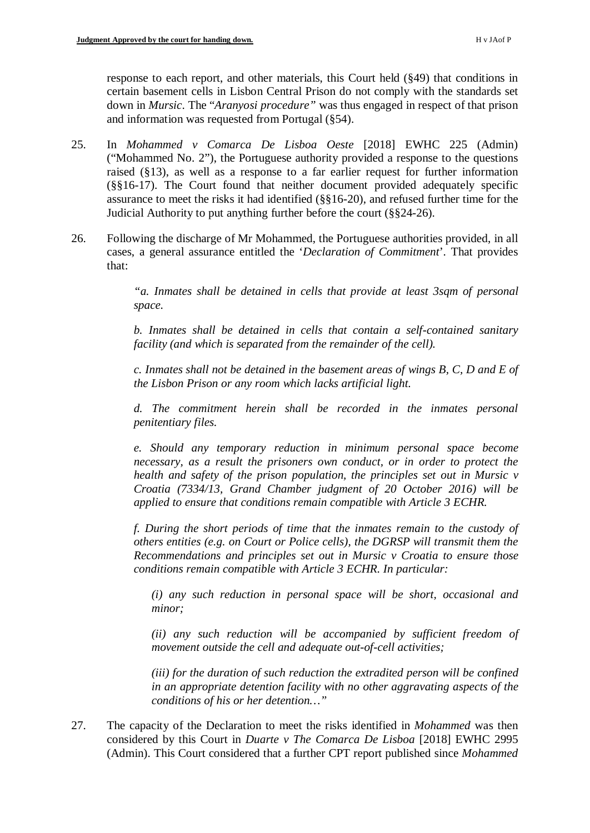response to each report, and other materials, this Court held (§49) that conditions in certain basement cells in Lisbon Central Prison do not comply with the standards set down in *Mursic*. The "*Aranyosi procedure"* was thus engaged in respect of that prison and information was requested from Portugal (§54).

- 25. In *Mohammed v Comarca De Lisboa Oeste* [2018] EWHC 225 (Admin) ("Mohammed No. 2"), the Portuguese authority provided a response to the questions raised (§13), as well as a response to a far earlier request for further information (§§16-17). The Court found that neither document provided adequately specific assurance to meet the risks it had identified (§§16-20), and refused further time for the Judicial Authority to put anything further before the court (§§24-26).
- 26. Following the discharge of Mr Mohammed, the Portuguese authorities provided, in all cases, a general assurance entitled the '*Declaration of Commitment*'. That provides that:

*"a. Inmates shall be detained in cells that provide at least 3sqm of personal space.*

*b. Inmates shall be detained in cells that contain a self-contained sanitary facility (and which is separated from the remainder of the cell).*

*c. Inmates shall not be detained in the basement areas of wings B, C, D and E of the Lisbon Prison or any room which lacks artificial light.*

*d. The commitment herein shall be recorded in the inmates personal penitentiary files.* 

*e. Should any temporary reduction in minimum personal space become necessary, as a result the prisoners own conduct, or in order to protect the health and safety of the prison population, the principles set out in Mursic v Croatia (7334/13, Grand Chamber judgment of 20 October 2016) will be applied to ensure that conditions remain compatible with Article 3 ECHR.*

*f. During the short periods of time that the inmates remain to the custody of others entities (e.g. on Court or Police cells), the DGRSP will transmit them the Recommendations and principles set out in Mursic v Croatia to ensure those conditions remain compatible with Article 3 ECHR. In particular:*

*(i) any such reduction in personal space will be short, occasional and minor;*

*(ii) any such reduction will be accompanied by sufficient freedom of movement outside the cell and adequate out-of-cell activities;*

*(iii) for the duration of such reduction the extradited person will be confined in an appropriate detention facility with no other aggravating aspects of the conditions of his or her detention…"*

27. The capacity of the Declaration to meet the risks identified in *Mohammed* was then considered by this Court in *Duarte v The Comarca De Lisboa* [2018] EWHC 2995 (Admin). This Court considered that a further CPT report published since *Mohammed*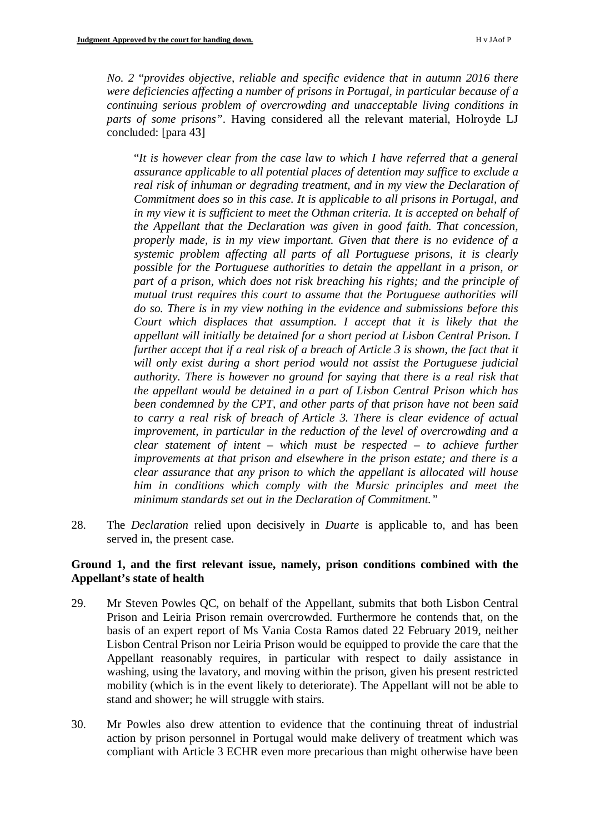*No. 2* "*provides objective, reliable and specific evidence that in autumn 2016 there were deficiencies affecting a number of prisons in Portugal, in particular because of a continuing serious problem of overcrowding and unacceptable living conditions in parts of some prisons"*. Having considered all the relevant material, Holroyde LJ concluded: [para 43]

"*It is however clear from the case law to which I have referred that a general assurance applicable to all potential places of detention may suffice to exclude a real risk of inhuman or degrading treatment, and in my view the Declaration of Commitment does so in this case. It is applicable to all prisons in Portugal, and in my view it is sufficient to meet the Othman criteria. It is accepted on behalf of the Appellant that the Declaration was given in good faith. That concession, properly made, is in my view important. Given that there is no evidence of a systemic problem affecting all parts of all Portuguese prisons, it is clearly possible for the Portuguese authorities to detain the appellant in a prison, or part of a prison, which does not risk breaching his rights; and the principle of mutual trust requires this court to assume that the Portuguese authorities will do so. There is in my view nothing in the evidence and submissions before this Court which displaces that assumption. I accept that it is likely that the appellant will initially be detained for a short period at Lisbon Central Prison. I further accept that if a real risk of a breach of Article 3 is shown, the fact that it will only exist during a short period would not assist the Portuguese judicial authority. There is however no ground for saying that there is a real risk that the appellant would be detained in a part of Lisbon Central Prison which has been condemned by the CPT, and other parts of that prison have not been said to carry a real risk of breach of Article 3. There is clear evidence of actual improvement, in particular in the reduction of the level of overcrowding and a clear statement of intent – which must be respected – to achieve further improvements at that prison and elsewhere in the prison estate; and there is a clear assurance that any prison to which the appellant is allocated will house him in conditions which comply with the Mursic principles and meet the minimum standards set out in the Declaration of Commitment."*

28. The *Declaration* relied upon decisively in *Duarte* is applicable to, and has been served in, the present case.

## **Ground 1, and the first relevant issue, namely, prison conditions combined with the Appellant's state of health**

- 29. Mr Steven Powles QC, on behalf of the Appellant, submits that both Lisbon Central Prison and Leiria Prison remain overcrowded. Furthermore he contends that, on the basis of an expert report of Ms Vania Costa Ramos dated 22 February 2019, neither Lisbon Central Prison nor Leiria Prison would be equipped to provide the care that the Appellant reasonably requires, in particular with respect to daily assistance in washing, using the lavatory, and moving within the prison, given his present restricted mobility (which is in the event likely to deteriorate). The Appellant will not be able to stand and shower; he will struggle with stairs.
- 30. Mr Powles also drew attention to evidence that the continuing threat of industrial action by prison personnel in Portugal would make delivery of treatment which was compliant with Article 3 ECHR even more precarious than might otherwise have been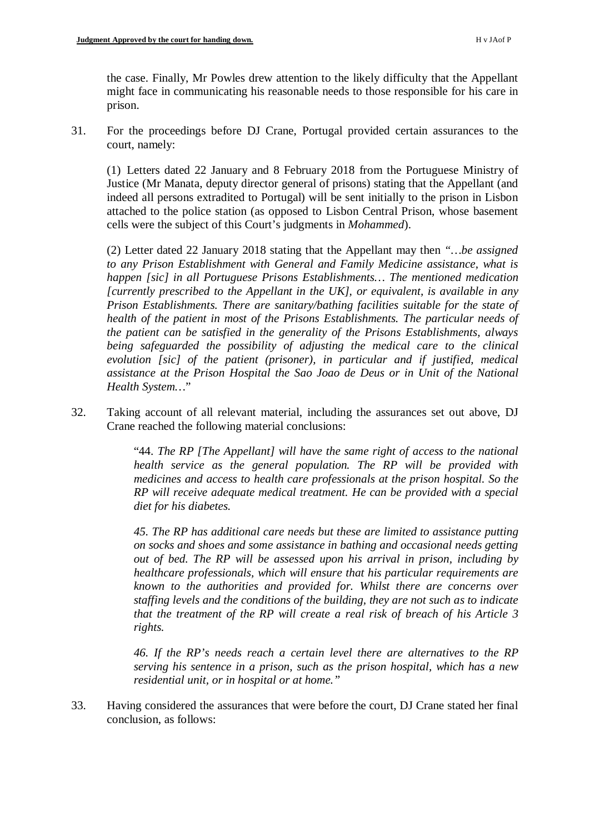the case. Finally, Mr Powles drew attention to the likely difficulty that the Appellant might face in communicating his reasonable needs to those responsible for his care in prison.

31. For the proceedings before DJ Crane, Portugal provided certain assurances to the court, namely:

(1) Letters dated 22 January and 8 February 2018 from the Portuguese Ministry of Justice (Mr Manata, deputy director general of prisons) stating that the Appellant (and indeed all persons extradited to Portugal) will be sent initially to the prison in Lisbon attached to the police station (as opposed to Lisbon Central Prison, whose basement cells were the subject of this Court's judgments in *Mohammed*).

(2) Letter dated 22 January 2018 stating that the Appellant may then *"…be assigned to any Prison Establishment with General and Family Medicine assistance, what is happen [sic] in all Portuguese Prisons Establishments… The mentioned medication [currently prescribed to the Appellant in the UK], or equivalent, is available in any Prison Establishments. There are sanitary/bathing facilities suitable for the state of health of the patient in most of the Prisons Establishments. The particular needs of the patient can be satisfied in the generality of the Prisons Establishments, always being safeguarded the possibility of adjusting the medical care to the clinical evolution [sic] of the patient (prisoner), in particular and if justified, medical assistance at the Prison Hospital the Sao Joao de Deus or in Unit of the National Health System…*"

32. Taking account of all relevant material, including the assurances set out above, DJ Crane reached the following material conclusions:

> "44. *The RP [The Appellant] will have the same right of access to the national health service as the general population. The RP will be provided with medicines and access to health care professionals at the prison hospital. So the RP will receive adequate medical treatment. He can be provided with a special diet for his diabetes.*

> *45. The RP has additional care needs but these are limited to assistance putting on socks and shoes and some assistance in bathing and occasional needs getting out of bed. The RP will be assessed upon his arrival in prison, including by healthcare professionals, which will ensure that his particular requirements are known to the authorities and provided for. Whilst there are concerns over staffing levels and the conditions of the building, they are not such as to indicate that the treatment of the RP will create a real risk of breach of his Article 3 rights.*

> *46. If the RP's needs reach a certain level there are alternatives to the RP serving his sentence in a prison, such as the prison hospital, which has a new residential unit, or in hospital or at home."*

33. Having considered the assurances that were before the court, DJ Crane stated her final conclusion, as follows: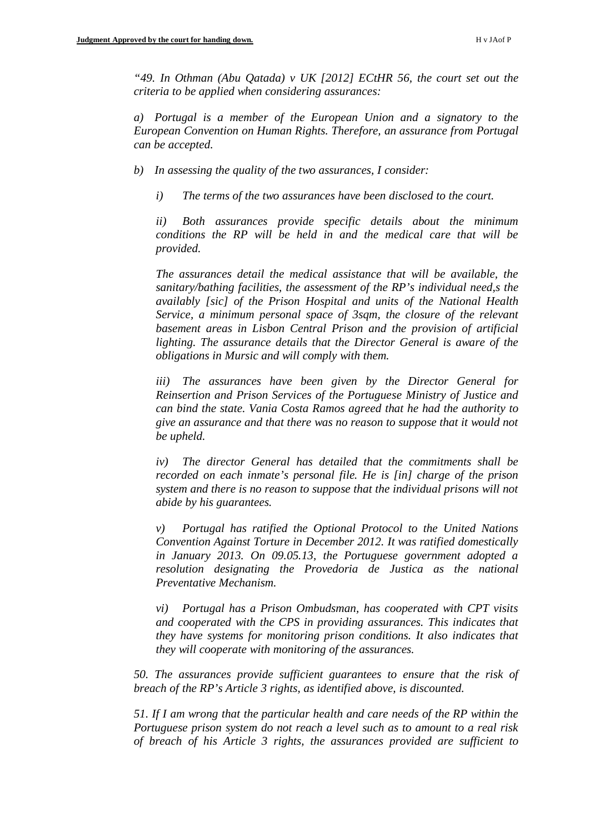*"49. In Othman (Abu Qatada) v UK [2012] ECtHR 56, the court set out the criteria to be applied when considering assurances:*

*a) Portugal is a member of the European Union and a signatory to the European Convention on Human Rights. Therefore, an assurance from Portugal can be accepted.*

*b) In assessing the quality of the two assurances, I consider:*

*i) The terms of the two assurances have been disclosed to the court.*

*ii) Both assurances provide specific details about the minimum conditions the RP will be held in and the medical care that will be provided.*

*The assurances detail the medical assistance that will be available, the sanitary/bathing facilities, the assessment of the RP's individual need,s the availably [sic] of the Prison Hospital and units of the National Health Service, a minimum personal space of 3sqm, the closure of the relevant basement areas in Lisbon Central Prison and the provision of artificial lighting. The assurance details that the Director General is aware of the obligations in Mursic and will comply with them.*

*iii) The assurances have been given by the Director General for Reinsertion and Prison Services of the Portuguese Ministry of Justice and can bind the state. Vania Costa Ramos agreed that he had the authority to give an assurance and that there was no reason to suppose that it would not be upheld.*

*iv) The director General has detailed that the commitments shall be recorded on each inmate's personal file. He is [in] charge of the prison system and there is no reason to suppose that the individual prisons will not abide by his guarantees.*

*v) Portugal has ratified the Optional Protocol to the United Nations Convention Against Torture in December 2012. It was ratified domestically in January 2013. On 09.05.13, the Portuguese government adopted a resolution designating the Provedoria de Justica as the national Preventative Mechanism.*

*vi) Portugal has a Prison Ombudsman, has cooperated with CPT visits and cooperated with the CPS in providing assurances. This indicates that they have systems for monitoring prison conditions. It also indicates that they will cooperate with monitoring of the assurances.*

*50. The assurances provide sufficient guarantees to ensure that the risk of breach of the RP's Article 3 rights, as identified above, is discounted.*

*51. If I am wrong that the particular health and care needs of the RP within the Portuguese prison system do not reach a level such as to amount to a real risk of breach of his Article 3 rights, the assurances provided are sufficient to*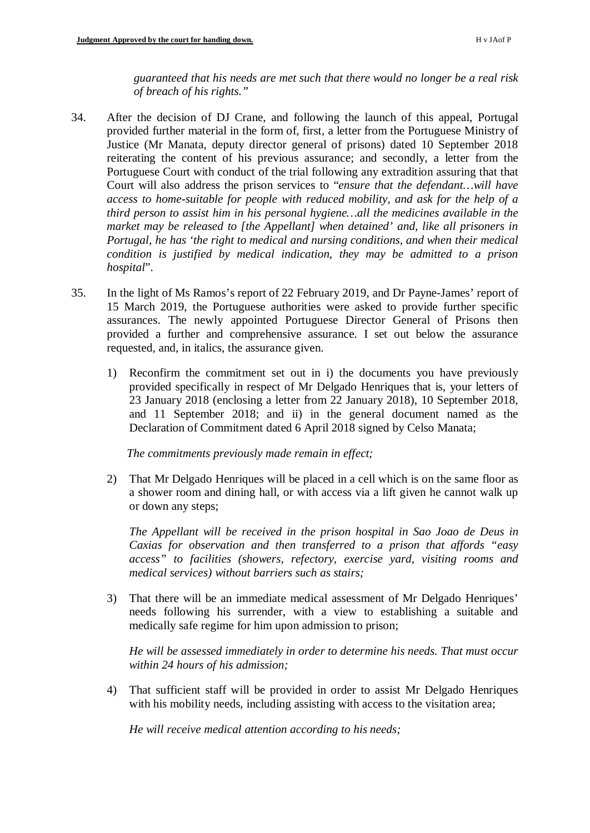*guaranteed that his needs are met such that there would no longer be a real risk of breach of his rights."*

- 34. After the decision of DJ Crane, and following the launch of this appeal, Portugal provided further material in the form of, first, a letter from the Portuguese Ministry of Justice (Mr Manata, deputy director general of prisons) dated 10 September 2018 reiterating the content of his previous assurance; and secondly, a letter from the Portuguese Court with conduct of the trial following any extradition assuring that that Court will also address the prison services to "*ensure that the defendant…will have access to home-suitable for people with reduced mobility, and ask for the help of a third person to assist him in his personal hygiene…all the medicines available in the market may be released to [the Appellant] when detained' and, like all prisoners in Portugal, he has 'the right to medical and nursing conditions, and when their medical condition is justified by medical indication, they may be admitted to a prison hospital*".
- 35. In the light of Ms Ramos's report of 22 February 2019, and Dr Payne-James' report of 15 March 2019, the Portuguese authorities were asked to provide further specific assurances. The newly appointed Portuguese Director General of Prisons then provided a further and comprehensive assurance. I set out below the assurance requested, and, in italics, the assurance given.
	- 1) Reconfirm the commitment set out in i) the documents you have previously provided specifically in respect of Mr Delgado Henriques that is, your letters of 23 January 2018 (enclosing a letter from 22 January 2018), 10 September 2018, and 11 September 2018; and ii) in the general document named as the Declaration of Commitment dated 6 April 2018 signed by Celso Manata;

*The commitments previously made remain in effect;*

2) That Mr Delgado Henriques will be placed in a cell which is on the same floor as a shower room and dining hall, or with access via a lift given he cannot walk up or down any steps;

*The Appellant will be received in the prison hospital in Sao Joao de Deus in Caxias for observation and then transferred to a prison that affords "easy access" to facilities (showers, refectory, exercise yard, visiting rooms and medical services) without barriers such as stairs;* 

3) That there will be an immediate medical assessment of Mr Delgado Henriques' needs following his surrender, with a view to establishing a suitable and medically safe regime for him upon admission to prison;

*He will be assessed immediately in order to determine his needs. That must occur within 24 hours of his admission;*

4) That sufficient staff will be provided in order to assist Mr Delgado Henriques with his mobility needs, including assisting with access to the visitation area;

*He will receive medical attention according to his needs;*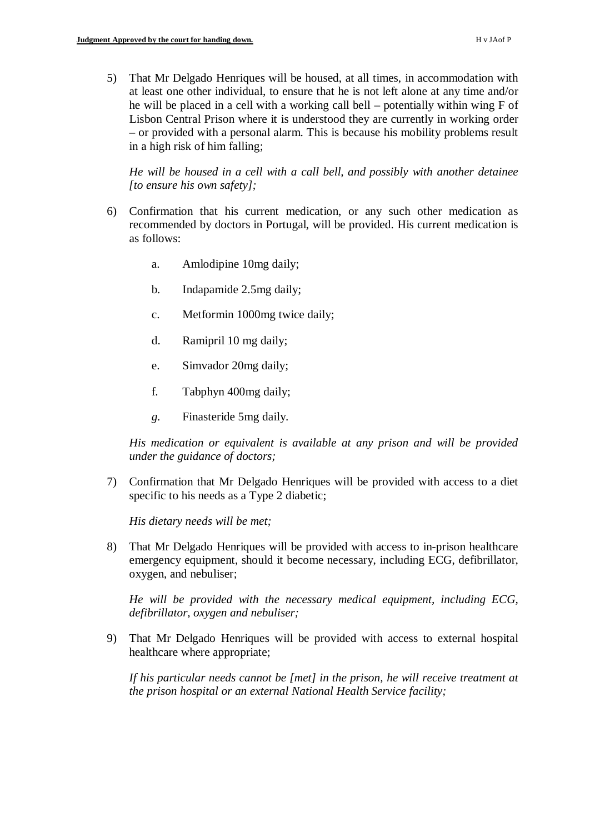5) That Mr Delgado Henriques will be housed, at all times, in accommodation with at least one other individual, to ensure that he is not left alone at any time and/or he will be placed in a cell with a working call bell – potentially within wing F of Lisbon Central Prison where it is understood they are currently in working order – or provided with a personal alarm. This is because his mobility problems result in a high risk of him falling;

*He will be housed in a cell with a call bell, and possibly with another detainee [to ensure his own safety];*

- 6) Confirmation that his current medication, or any such other medication as recommended by doctors in Portugal, will be provided. His current medication is as follows:
	- a. Amlodipine 10mg daily;
	- b. Indapamide 2.5mg daily;
	- c. Metformin 1000mg twice daily;
	- d. Ramipril 10 mg daily;
	- e. Simvador 20mg daily;
	- f. Tabphyn 400mg daily;
	- *g.* Finasteride 5mg daily.

*His medication or equivalent is available at any prison and will be provided under the guidance of doctors;*

7) Confirmation that Mr Delgado Henriques will be provided with access to a diet specific to his needs as a Type 2 diabetic;

*His dietary needs will be met;*

8) That Mr Delgado Henriques will be provided with access to in-prison healthcare emergency equipment, should it become necessary, including ECG, defibrillator, oxygen, and nebuliser;

*He will be provided with the necessary medical equipment, including ECG, defibrillator, oxygen and nebuliser;*

9) That Mr Delgado Henriques will be provided with access to external hospital healthcare where appropriate;

*If his particular needs cannot be [met] in the prison, he will receive treatment at the prison hospital or an external National Health Service facility;*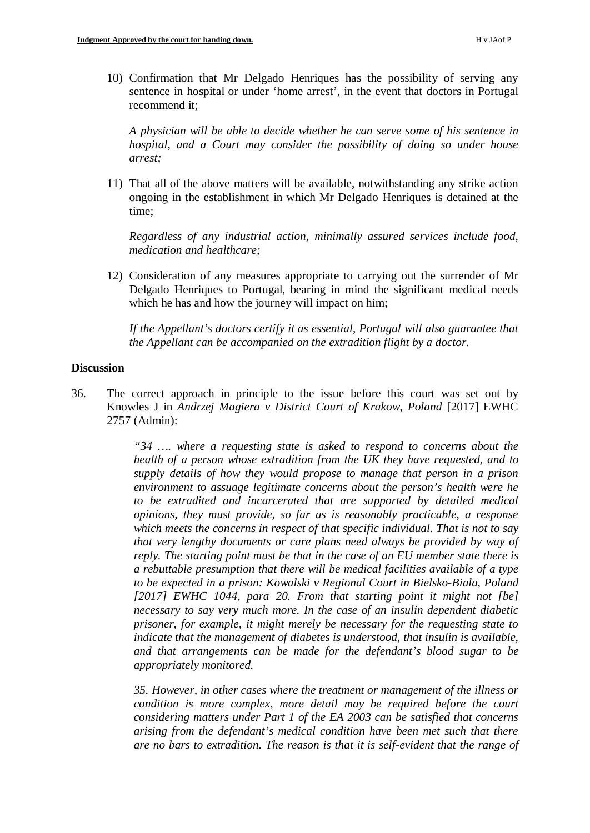10) Confirmation that Mr Delgado Henriques has the possibility of serving any sentence in hospital or under 'home arrest', in the event that doctors in Portugal recommend it;

*A physician will be able to decide whether he can serve some of his sentence in hospital, and a Court may consider the possibility of doing so under house arrest;*

11) That all of the above matters will be available, notwithstanding any strike action ongoing in the establishment in which Mr Delgado Henriques is detained at the time;

*Regardless of any industrial action, minimally assured services include food, medication and healthcare;* 

12) Consideration of any measures appropriate to carrying out the surrender of Mr Delgado Henriques to Portugal, bearing in mind the significant medical needs which he has and how the journey will impact on him;

*If the Appellant's doctors certify it as essential, Portugal will also guarantee that the Appellant can be accompanied on the extradition flight by a doctor.*

#### **Discussion**

36. The correct approach in principle to the issue before this court was set out by Knowles J in *Andrzej Magiera v District Court of Krakow, Poland* [2017] EWHC 2757 (Admin):

> *"34 …. where a requesting state is asked to respond to concerns about the health of a person whose extradition from the UK they have requested, and to supply details of how they would propose to manage that person in a prison environment to assuage legitimate concerns about the person's health were he to be extradited and incarcerated that are supported by detailed medical opinions, they must provide, so far as is reasonably practicable, a response which meets the concerns in respect of that specific individual. That is not to say that very lengthy documents or care plans need always be provided by way of reply. The starting point must be that in the case of an EU member state there is a rebuttable presumption that there will be medical facilities available of a type to be expected in a prison: Kowalski v Regional Court in Bielsko-Biala, Poland [2017] EWHC 1044, para 20. From that starting point it might not [be] necessary to say very much more. In the case of an insulin dependent diabetic prisoner, for example, it might merely be necessary for the requesting state to indicate that the management of diabetes is understood, that insulin is available, and that arrangements can be made for the defendant's blood sugar to be appropriately monitored.*

> *35. However, in other cases where the treatment or management of the illness or condition is more complex, more detail may be required before the court considering matters under Part 1 of the EA 2003 can be satisfied that concerns arising from the defendant's medical condition have been met such that there are no bars to extradition. The reason is that it is self-evident that the range of*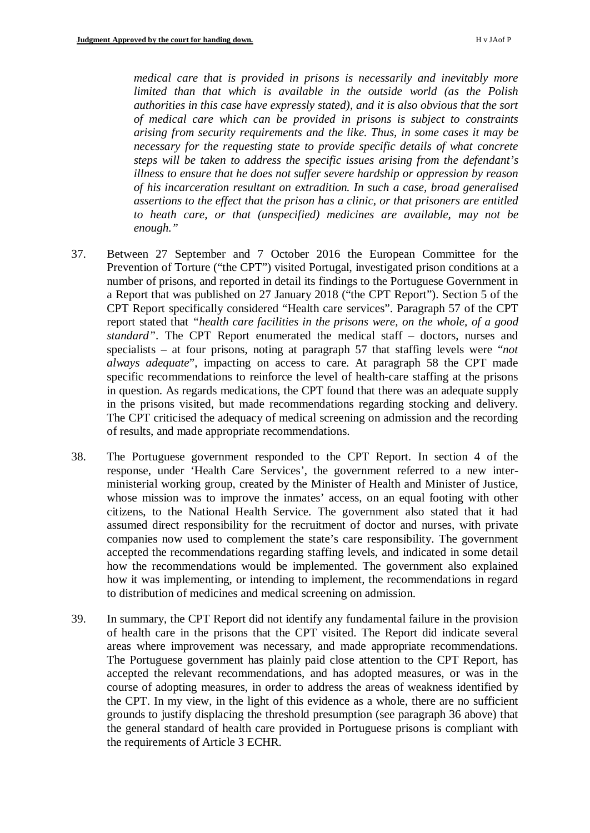*medical care that is provided in prisons is necessarily and inevitably more limited than that which is available in the outside world (as the Polish authorities in this case have expressly stated), and it is also obvious that the sort of medical care which can be provided in prisons is subject to constraints arising from security requirements and the like. Thus, in some cases it may be necessary for the requesting state to provide specific details of what concrete steps will be taken to address the specific issues arising from the defendant's illness to ensure that he does not suffer severe hardship or oppression by reason of his incarceration resultant on extradition. In such a case, broad generalised assertions to the effect that the prison has a clinic, or that prisoners are entitled to heath care, or that (unspecified) medicines are available, may not be enough."* 

- 37. Between 27 September and 7 October 2016 the European Committee for the Prevention of Torture ("the CPT") visited Portugal, investigated prison conditions at a number of prisons, and reported in detail its findings to the Portuguese Government in a Report that was published on 27 January 2018 ("the CPT Report"). Section 5 of the CPT Report specifically considered "Health care services". Paragraph 57 of the CPT report stated that *"health care facilities in the prisons were, on the whole, of a good standard"*. The CPT Report enumerated the medical staff – doctors, nurses and specialists – at four prisons, noting at paragraph 57 that staffing levels were "*not always adequate*", impacting on access to care. At paragraph 58 the CPT made specific recommendations to reinforce the level of health-care staffing at the prisons in question. As regards medications, the CPT found that there was an adequate supply in the prisons visited, but made recommendations regarding stocking and delivery. The CPT criticised the adequacy of medical screening on admission and the recording of results, and made appropriate recommendations.
- 38. The Portuguese government responded to the CPT Report. In section 4 of the response, under 'Health Care Services', the government referred to a new interministerial working group, created by the Minister of Health and Minister of Justice, whose mission was to improve the inmates' access, on an equal footing with other citizens, to the National Health Service. The government also stated that it had assumed direct responsibility for the recruitment of doctor and nurses, with private companies now used to complement the state's care responsibility. The government accepted the recommendations regarding staffing levels, and indicated in some detail how the recommendations would be implemented. The government also explained how it was implementing, or intending to implement, the recommendations in regard to distribution of medicines and medical screening on admission.
- 39. In summary, the CPT Report did not identify any fundamental failure in the provision of health care in the prisons that the CPT visited. The Report did indicate several areas where improvement was necessary, and made appropriate recommendations. The Portuguese government has plainly paid close attention to the CPT Report, has accepted the relevant recommendations, and has adopted measures, or was in the course of adopting measures, in order to address the areas of weakness identified by the CPT. In my view, in the light of this evidence as a whole, there are no sufficient grounds to justify displacing the threshold presumption (see paragraph 36 above) that the general standard of health care provided in Portuguese prisons is compliant with the requirements of Article 3 ECHR.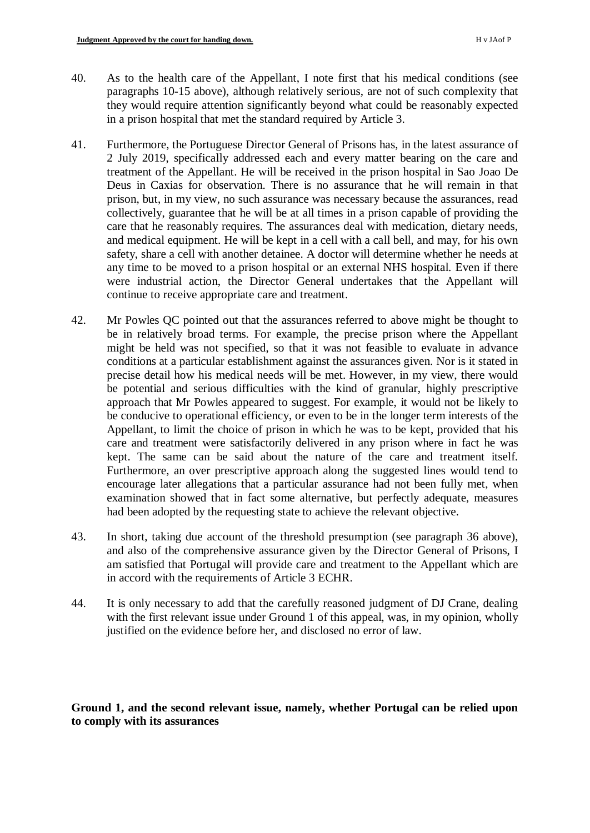- 40. As to the health care of the Appellant, I note first that his medical conditions (see paragraphs 10-15 above), although relatively serious, are not of such complexity that they would require attention significantly beyond what could be reasonably expected in a prison hospital that met the standard required by Article 3.
- 41. Furthermore, the Portuguese Director General of Prisons has, in the latest assurance of 2 July 2019, specifically addressed each and every matter bearing on the care and treatment of the Appellant. He will be received in the prison hospital in Sao Joao De Deus in Caxias for observation. There is no assurance that he will remain in that prison, but, in my view, no such assurance was necessary because the assurances, read collectively, guarantee that he will be at all times in a prison capable of providing the care that he reasonably requires. The assurances deal with medication, dietary needs, and medical equipment. He will be kept in a cell with a call bell, and may, for his own safety, share a cell with another detainee. A doctor will determine whether he needs at any time to be moved to a prison hospital or an external NHS hospital. Even if there were industrial action, the Director General undertakes that the Appellant will continue to receive appropriate care and treatment.
- 42. Mr Powles QC pointed out that the assurances referred to above might be thought to be in relatively broad terms. For example, the precise prison where the Appellant might be held was not specified, so that it was not feasible to evaluate in advance conditions at a particular establishment against the assurances given. Nor is it stated in precise detail how his medical needs will be met. However, in my view, there would be potential and serious difficulties with the kind of granular, highly prescriptive approach that Mr Powles appeared to suggest. For example, it would not be likely to be conducive to operational efficiency, or even to be in the longer term interests of the Appellant, to limit the choice of prison in which he was to be kept, provided that his care and treatment were satisfactorily delivered in any prison where in fact he was kept. The same can be said about the nature of the care and treatment itself. Furthermore, an over prescriptive approach along the suggested lines would tend to encourage later allegations that a particular assurance had not been fully met, when examination showed that in fact some alternative, but perfectly adequate, measures had been adopted by the requesting state to achieve the relevant objective.
- 43. In short, taking due account of the threshold presumption (see paragraph 36 above), and also of the comprehensive assurance given by the Director General of Prisons, I am satisfied that Portugal will provide care and treatment to the Appellant which are in accord with the requirements of Article 3 ECHR.
- 44. It is only necessary to add that the carefully reasoned judgment of DJ Crane, dealing with the first relevant issue under Ground 1 of this appeal, was, in my opinion, wholly justified on the evidence before her, and disclosed no error of law.

# **Ground 1, and the second relevant issue, namely, whether Portugal can be relied upon to comply with its assurances**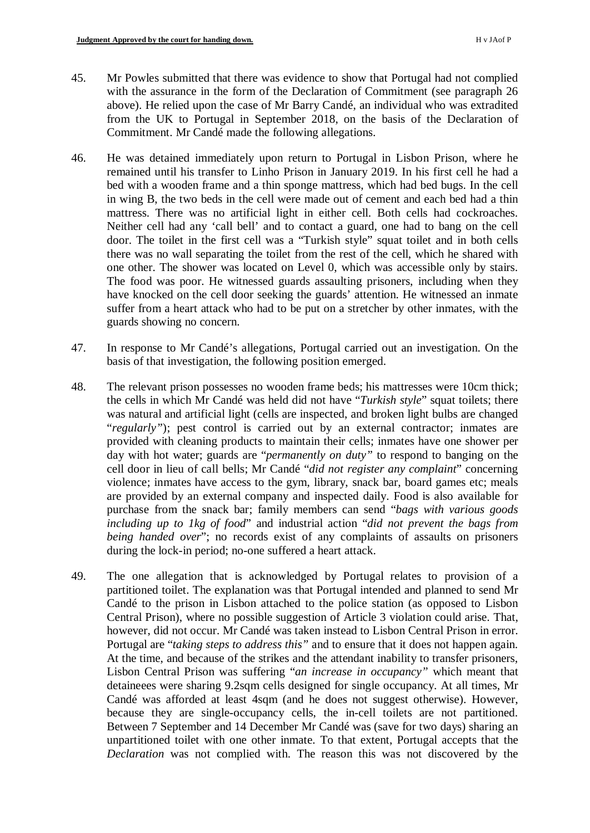- 45. Mr Powles submitted that there was evidence to show that Portugal had not complied with the assurance in the form of the Declaration of Commitment (see paragraph 26 above). He relied upon the case of Mr Barry Candé, an individual who was extradited from the UK to Portugal in September 2018, on the basis of the Declaration of Commitment. Mr Candé made the following allegations.
- 46. He was detained immediately upon return to Portugal in Lisbon Prison, where he remained until his transfer to Linho Prison in January 2019. In his first cell he had a bed with a wooden frame and a thin sponge mattress, which had bed bugs. In the cell in wing B, the two beds in the cell were made out of cement and each bed had a thin mattress. There was no artificial light in either cell. Both cells had cockroaches. Neither cell had any 'call bell' and to contact a guard, one had to bang on the cell door. The toilet in the first cell was a "Turkish style" squat toilet and in both cells there was no wall separating the toilet from the rest of the cell, which he shared with one other. The shower was located on Level 0, which was accessible only by stairs. The food was poor. He witnessed guards assaulting prisoners, including when they have knocked on the cell door seeking the guards' attention. He witnessed an inmate suffer from a heart attack who had to be put on a stretcher by other inmates, with the guards showing no concern.
- 47. In response to Mr Candé's allegations, Portugal carried out an investigation. On the basis of that investigation, the following position emerged.
- 48. The relevant prison possesses no wooden frame beds; his mattresses were 10cm thick; the cells in which Mr Candé was held did not have "*Turkish style*" squat toilets; there was natural and artificial light (cells are inspected, and broken light bulbs are changed "*regularly*"); pest control is carried out by an external contractor; inmates are provided with cleaning products to maintain their cells; inmates have one shower per day with hot water; guards are "*permanently on duty"* to respond to banging on the cell door in lieu of call bells; Mr Candé "*did not register any complaint*" concerning violence; inmates have access to the gym, library, snack bar, board games etc; meals are provided by an external company and inspected daily. Food is also available for purchase from the snack bar; family members can send "*bags with various goods including up to 1kg of food*" and industrial action "*did not prevent the bags from being handed over*"; no records exist of any complaints of assaults on prisoners during the lock-in period; no-one suffered a heart attack.
- 49. The one allegation that is acknowledged by Portugal relates to provision of a partitioned toilet. The explanation was that Portugal intended and planned to send Mr Candé to the prison in Lisbon attached to the police station (as opposed to Lisbon Central Prison), where no possible suggestion of Article 3 violation could arise. That, however, did not occur. Mr Candé was taken instead to Lisbon Central Prison in error. Portugal are "*taking steps to address this"* and to ensure that it does not happen again. At the time, and because of the strikes and the attendant inability to transfer prisoners, Lisbon Central Prison was suffering "*an increase in occupancy"* which meant that detaineees were sharing 9.2sqm cells designed for single occupancy. At all times, Mr Candé was afforded at least 4sqm (and he does not suggest otherwise). However, because they are single-occupancy cells, the in-cell toilets are not partitioned. Between 7 September and 14 December Mr Candé was (save for two days) sharing an unpartitioned toilet with one other inmate. To that extent, Portugal accepts that the *Declaration* was not complied with. The reason this was not discovered by the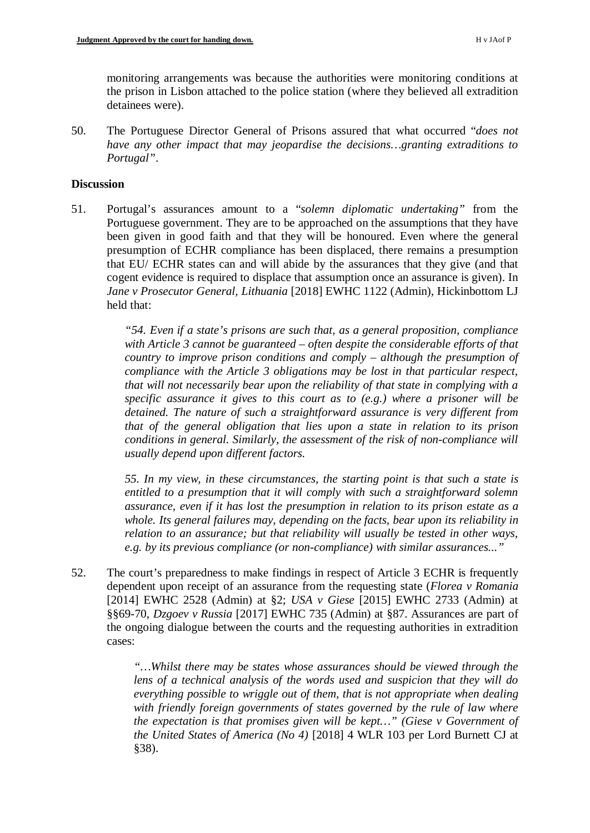monitoring arrangements was because the authorities were monitoring conditions at the prison in Lisbon attached to the police station (where they believed all extradition detainees were).

50. The Portuguese Director General of Prisons assured that what occurred "*does not have any other impact that may jeopardise the decisions…granting extraditions to Portugal"*.

## **Discussion**

51. Portugal's assurances amount to a "*solemn diplomatic undertaking"* from the Portuguese government. They are to be approached on the assumptions that they have been given in good faith and that they will be honoured. Even where the general presumption of ECHR compliance has been displaced, there remains a presumption that EU/ ECHR states can and will abide by the assurances that they give (and that cogent evidence is required to displace that assumption once an assurance is given). In *Jane v Prosecutor General, Lithuania* [2018] EWHC 1122 (Admin), Hickinbottom LJ held that:

> *"54. Even if a state's prisons are such that, as a general proposition, compliance with Article 3 cannot be guaranteed – often despite the considerable efforts of that country to improve prison conditions and comply – although the presumption of compliance with the Article 3 obligations may be lost in that particular respect, that will not necessarily bear upon the reliability of that state in complying with a specific assurance it gives to this court as to (e.g.) where a prisoner will be detained. The nature of such a straightforward assurance is very different from that of the general obligation that lies upon a state in relation to its prison conditions in general. Similarly, the assessment of the risk of non-compliance will usually depend upon different factors.*

> *55. In my view, in these circumstances, the starting point is that such a state is entitled to a presumption that it will comply with such a straightforward solemn assurance, even if it has lost the presumption in relation to its prison estate as a whole. Its general failures may, depending on the facts, bear upon its reliability in relation to an assurance; but that reliability will usually be tested in other ways, e.g. by its previous compliance (or non-compliance) with similar assurances..."*

52. The court's preparedness to make findings in respect of Article 3 ECHR is frequently dependent upon receipt of an assurance from the requesting state (*Florea v Romania* [2014] EWHC 2528 (Admin) at §2; *USA v Giese* [2015] EWHC 2733 (Admin) at §§69-70, *Dzgoev v Russia* [2017] EWHC 735 (Admin) at §87. Assurances are part of the ongoing dialogue between the courts and the requesting authorities in extradition cases:

> *"…Whilst there may be states whose assurances should be viewed through the lens of a technical analysis of the words used and suspicion that they will do everything possible to wriggle out of them, that is not appropriate when dealing with friendly foreign governments of states governed by the rule of law where the expectation is that promises given will be kept…" (Giese v Government of the United States of America (No 4)* [2018] 4 WLR 103 per Lord Burnett CJ at §38).